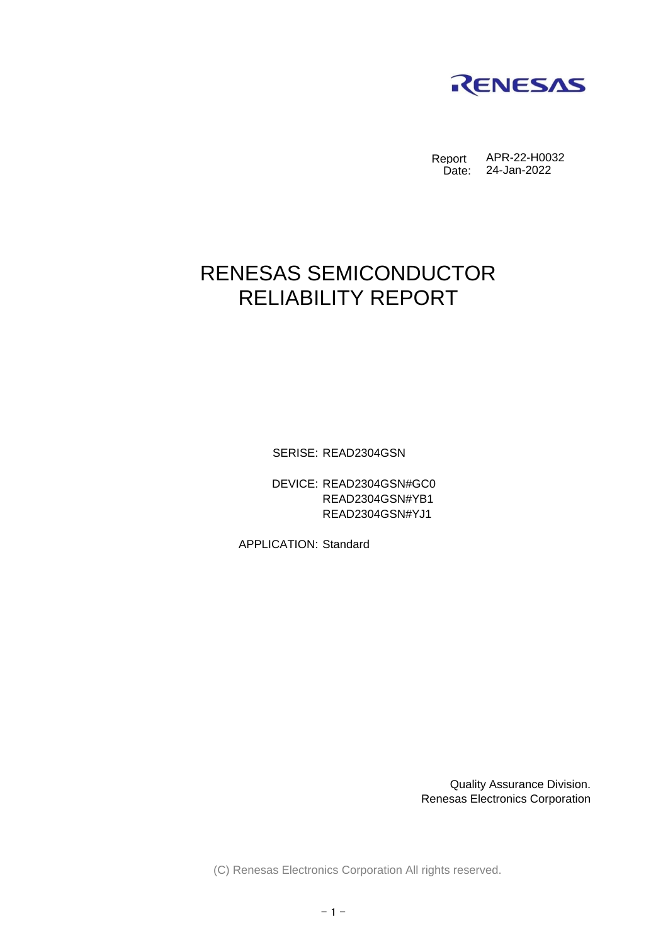

Report Date: APR-22-H0032 24-Jan-2022

## RENESAS SEMICONDUCTOR RELIABILITY REPORT

SERISE: READ2304GSN

DEVICE: READ2304GSN#GC0 READ2304GSN#YB1 READ2304GSN#YJ1

APPLICATION: Standard

Quality Assurance Division. Renesas Electronics Corporation

(C) Renesas Electronics Corporation All rights reserved.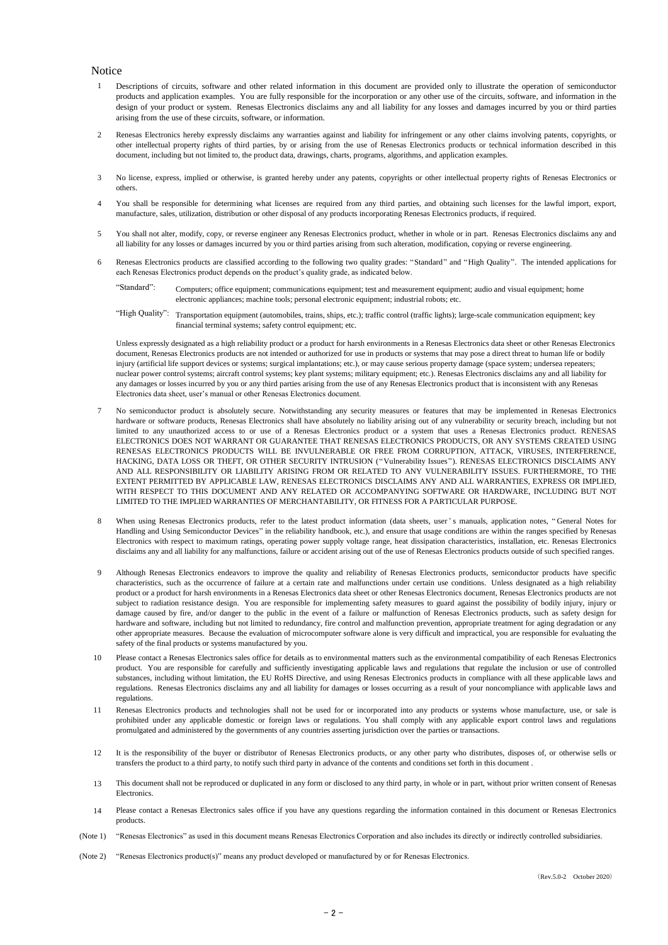## **Notice**

- 1 Descriptions of circuits, software and other related information in this document are provided only to illustrate the operation of semiconductor products and application examples. You are fully responsible for the incorporation or any other use of the circuits, software, and information in the design of your product or system. Renesas Electronics disclaims any and all liability for any losses and damages incurred by you or third parties arising from the use of these circuits, software, or information.
- $\overline{2}$ Renesas Electronics hereby expressly disclaims any warranties against and liability for infringement or any other claims involving patents, copyrights, or other intellectual property rights of third parties, by or arising from the use of Renesas Electronics products or technical information described in this document, including but not limited to, the product data, drawings, charts, programs, algorithms, and application examples.
- 3 No license, express, implied or otherwise, is granted hereby under any patents, copyrights or other intellectual property rights of Renesas Electronics or others.
- 4 You shall be responsible for determining what licenses are required from any third parties, and obtaining such licenses for the lawful import, export, manufacture, sales, utilization, distribution or other disposal of any products incorporating Renesas Electronics products, if required.
- 5 You shall not alter, modify, copy, or reverse engineer any Renesas Electronics product, whether in whole or in part. Renesas Electronics disclaims any and all liability for any losses or damages incurred by you or third parties arising from such alteration, modification, copying or reverse engineering.
- 6 Renesas Electronics products are classified according to the following two quality grades: "Standard" and "High Quality". The intended applications for each Renesas Electronics product depends on the product's quality grade, as indicated below.
	- "Standard": Computers; office equipment; communications equipment; test and measurement equipment; audio and visual equipment; home electronic appliances; machine tools; personal electronic equipment; industrial robots; etc.
	- "High Quality": Transportation equipment (automobiles, trains, ships, etc.); traffic control (traffic lights); large-scale communication equipment; key financial terminal systems; safety control equipment; etc.

Unless expressly designated as a high reliability product or a product for harsh environments in a Renesas Electronics data sheet or other Renesas Electronics document, Renesas Electronics products are not intended or authorized for use in products or systems that may pose a direct threat to human life or bodily injury (artificial life support devices or systems; surgical implantations; etc.), or may cause serious property damage (space system; undersea repeaters; nuclear power control systems; aircraft control systems; key plant systems; military equipment; etc.). Renesas Electronics disclaims any and all liability for any damages or losses incurred by you or any third parties arising from the use of any Renesas Electronics product that is inconsistent with any Renesas Electronics data sheet, user's manual or other Renesas Electronics document.

- 7 No semiconductor product is absolutely secure. Notwithstanding any security measures or features that may be implemented in Renesas Electronics hardware or software products. Renesas Electronics shall have absolutely no liability arising out of any vulnerability or security breach, including but not limited to any unauthorized access to or use of a Renesas Electronics product or a system that uses a Renesas Electronics product. RENESAS ELECTRONICS DOES NOT WARRANT OR GUARANTEE THAT RENESAS ELECTRONICS PRODUCTS, OR ANY SYSTEMS CREATED USING RENESAS ELECTRONICS PRODUCTS WILL BE INVULNERABLE OR FREE FROM CORRUPTION, ATTACK, VIRUSES, INTERFERENCE, HACKING, DATA LOSS OR THEFT, OR OTHER SECURITY INTRUSION ("Vulnerability Issues"). RENESAS ELECTRONICS DISCLAIMS ANY AND ALL RESPONSIBILITY OR LIABILITY ARISING FROM OR RELATED TO ANY VULNERABILITY ISSUES. FURTHERMORE, TO THE EXTENT PERMITTED BY APPLICABLE LAW, RENESAS ELECTRONICS DISCLAIMS ANY AND ALL WARRANTIES, EXPRESS OR IMPLIED, WITH RESPECT TO THIS DOCUMENT AND ANY RELATED OR ACCOMPANYING SOFTWARE OR HARDWARE, INCLUDING BUT NOT LIMITED TO THE IMPLIED WARRANTIES OF MERCHANTABILITY, OR FITNESS FOR A PARTICULAR PURPOSE.
- 8 When using Renesas Electronics products, refer to the latest product information (data sheets, user 's manuals, application notes, "General Notes for Handling and Using Semiconductor Devices" in the reliability handbook, etc.), and ensure that usage conditions are within the ranges specified by Renesas Electronics with respect to maximum ratings, operating power supply voltage range, heat dissipation characteristics, installation, etc. Renesas Electronics disclaims any and all liability for any malfunctions, failure or accident arising out of the use of Renesas Electronics products outside of such specified ranges.
- $\overline{Q}$ Although Renesas Electronics endeavors to improve the quality and reliability of Renesas Electronics products, semiconductor products have specific characteristics, such as the occurrence of failure at a certain rate and malfunctions under certain use conditions. Unless designated as a high reliability product or a product for harsh environments in a Renesas Electronics data sheet or other Renesas Electronics document, Renesas Electronics products are not subject to radiation resistance design. You are responsible for implementing safety measures to guard against the possibility of bodily injury, injury or damage caused by fire, and/or danger to the public in the event of a failure or malfunction of Renesas Electronics products, such as safety design for hardware and software, including but not limited to redundancy, fire control and malfunction prevention, appropriate treatment for aging degradation or any other appropriate measures. Because the evaluation of microcomputer software alone is very difficult and impractical, you are responsible for evaluating the safety of the final products or systems manufactured by you.
- 10 Please contact a Renesas Electronics sales office for details as to environmental matters such as the environmental compatibility of each Renesas Electronics product. You are responsible for carefully and sufficiently investigating applicable laws and regulations that regulate the inclusion or use of controlled substances, including without limitation, the EU RoHS Directive, and using Renesas Electronics products in compliance with all these applicable laws and regulations. Renesas Electronics disclaims any and all liability for damages or losses occurring as a result of your noncompliance with applicable laws and regulations.
- 11 Renesas Electronics products and technologies shall not be used for or incorporated into any products or systems whose manufacture, use, or sale is prohibited under any applicable domestic or foreign laws or regulations. You shall comply with any applicable export control laws and regulations promulgated and administered by the governments of any countries asserting jurisdiction over the parties or transactions.
- 12 It is the responsibility of the buyer or distributor of Renesas Electronics products, or any other party who distributes, disposes of, or otherwise sells or transfers the product to a third party, to notify such third party in advance of the contents and conditions set forth in this document .
- 13 This document shall not be reproduced or duplicated in any form or disclosed to any third party, in whole or in part, without prior written consent of Renesas Electronics.
- 14 Please contact a Renesas Electronics sales office if you have any questions regarding the information contained in this document or Renesas Electronics products.
- (Note 1) "Renesas Electronics" as used in this document means Renesas Electronics Corporation and also includes its directly or indirectly controlled subsidiaries.
- (Note 2) "Renesas Electronics product(s)" means any product developed or manufactured by or for Renesas Electronics.